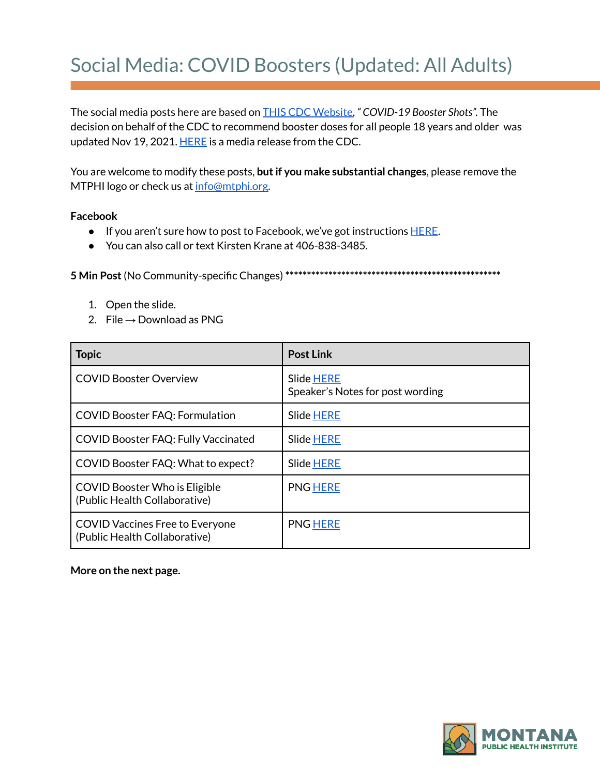## Social Media: COVID Boosters (Updated: All Adults)

The social media posts here are based on THIS CDC [Website](https://www.cdc.gov/coronavirus/2019-ncov/vaccines/booster-shot.html?s_cid=11706:cdc%20covid%20booster%20shot%20guidelines:sem.ga:p:RG:GM:gen:PTN:FY22), *" COVID-19 Booster Shots".* The decision on behalf of the CDC to recommend booster doses for all people 18 years and older was updated Nov 19, 2021. [HERE](https://www.cdc.gov/media/releases/2021/s1119-booster-shots.html) is a media release from the CDC.

You are welcome to modify these posts, **butif you make substantial changes**, please remove the MTPHI logo or check us at [info@mtphi.org.](mailto:info@mtphi.org)

## **Facebook**

- If you aren't sure how to post to Facebook, we've got instructions [HERE](https://docs.google.com/document/d/1lPT5OlsdAcd5UzGaS0B-kcM4cndZhiOHd2b7c3r7f5Q/edit?usp=sharing).
- You can also call or text Kirsten Krane at 406-838-3485.

**5 Min Post**(No Community-specific Changes) **\*\*\*\*\*\*\*\*\*\*\*\*\*\*\*\*\*\*\*\*\*\*\*\*\*\*\*\*\*\*\*\*\*\*\*\*\*\*\*\*\*\*\*\*\*\*\*\*\*\***

- 1. Open the slide.
- 2. File  $\rightarrow$  Download as PNG

| <b>Topic</b>                                                            | <b>Post Link</b>                               |
|-------------------------------------------------------------------------|------------------------------------------------|
| <b>COVID Booster Overview</b>                                           | Slide HERE<br>Speaker's Notes for post wording |
| <b>COVID Booster FAQ: Formulation</b>                                   | Slide HERE                                     |
| <b>COVID Booster FAQ: Fully Vaccinated</b>                              | Slide HERE                                     |
| COVID Booster FAQ: What to expect?                                      | <b>Slide HERE</b>                              |
| <b>COVID Booster Who is Eligible</b><br>(Public Health Collaborative)   | <b>PNG HERE</b>                                |
| <b>COVID Vaccines Free to Everyone</b><br>(Public Health Collaborative) | <b>PNG HERE</b>                                |

## **More on the next page.**

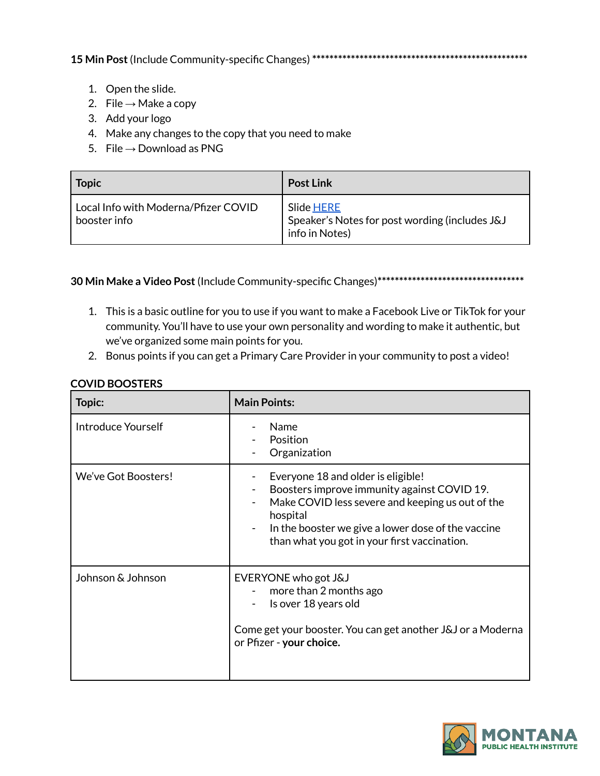**15 Min Post**(Include Community-specific Changes) **\*\*\*\*\*\*\*\*\*\*\*\*\*\*\*\*\*\*\*\*\*\*\*\*\*\*\*\*\*\*\*\*\*\*\*\*\*\*\*\*\*\*\*\*\*\*\*\*\*\***

- 1. Open the slide.
- 2. File  $\rightarrow$  Make a copy
- 3. Add your logo
- 4. Make any changes to the copy that you need to make
- 5. File  $→$  Download as PNG

| <b>Topic</b>                                         | <b>Post Link</b>                                                               |
|------------------------------------------------------|--------------------------------------------------------------------------------|
| Local Info with Moderna/Pfizer COVID<br>booster info | Slide HERE<br>Speaker's Notes for post wording (includes J&J<br>info in Notes) |

**30 Min Make a Video Post**(Include Community-specific Changes)**\*\*\*\*\*\*\*\*\*\*\*\*\*\*\*\*\*\*\*\*\*\*\*\*\*\*\*\*\*\*\*\*\*\***

- 1. This is a basic outline for you to use if you want to make a Facebook Live or TikTok for your community. You'll have to use your own personality and wording to make it authentic, but we've organized some main points for you.
- 2. Bonus points if you can get a Primary Care Provider in your community to post a video!

| Topic:                    | <b>Main Points:</b>                                                                                                                                                                                                                                     |
|---------------------------|---------------------------------------------------------------------------------------------------------------------------------------------------------------------------------------------------------------------------------------------------------|
| <b>Introduce Yourself</b> | Name<br>Position<br>Organization                                                                                                                                                                                                                        |
| We've Got Boosters!       | Everyone 18 and older is eligible!<br>Boosters improve immunity against COVID 19.<br>Make COVID less severe and keeping us out of the<br>hospital<br>In the booster we give a lower dose of the vaccine<br>than what you got in your first vaccination. |
| Johnson & Johnson         | EVERYONE who got J&J<br>more than 2 months ago<br>Is over 18 years old<br>Come get your booster. You can get another J&J or a Moderna<br>or Pfizer - your choice.                                                                                       |

## **COVID BOOSTERS**